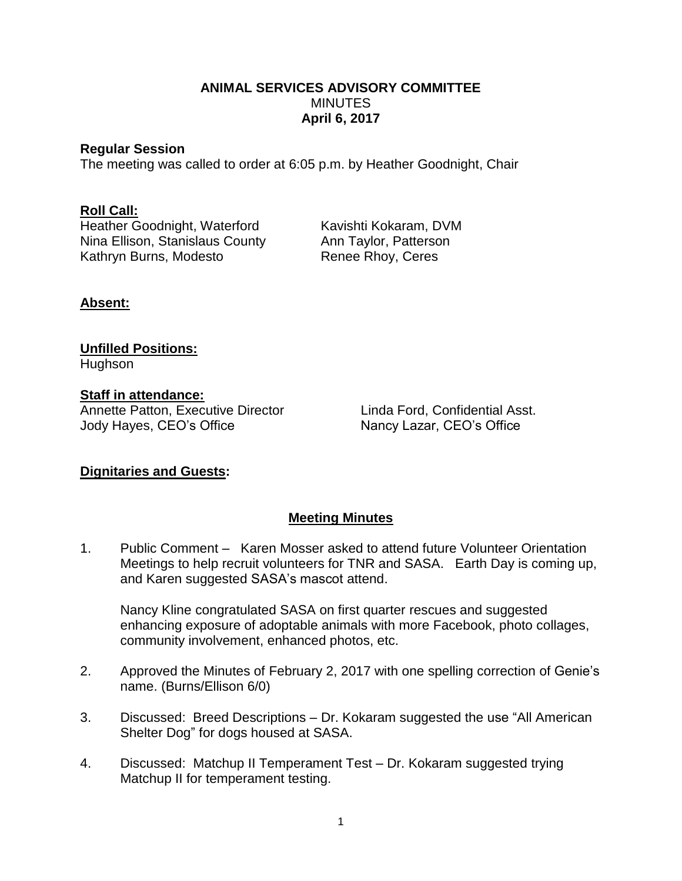### **ANIMAL SERVICES ADVISORY COMMITTEE MINUTES April 6, 2017**

#### **Regular Session**

The meeting was called to order at 6:05 p.m. by Heather Goodnight, Chair

### **Roll Call:**

Heather Goodnight, Waterford Kavishti Kokaram, DVM Nina Ellison, Stanislaus County Ann Taylor, Patterson Kathryn Burns, Modesto Renee Rhoy, Ceres

# **Absent:**

#### **Unfilled Positions:** Hughson

**Staff in attendance:** Annette Patton, Executive Director Linda Ford, Confidential Asst. Jody Hayes, CEO's Office Nancy Lazar, CEO's Office

# **Dignitaries and Guests:**

# **Meeting Minutes**

1. Public Comment – Karen Mosser asked to attend future Volunteer Orientation Meetings to help recruit volunteers for TNR and SASA. Earth Day is coming up, and Karen suggested SASA's mascot attend.

Nancy Kline congratulated SASA on first quarter rescues and suggested enhancing exposure of adoptable animals with more Facebook, photo collages, community involvement, enhanced photos, etc.

- 2. Approved the Minutes of February 2, 2017 with one spelling correction of Genie's name. (Burns/Ellison 6/0)
- 3. Discussed: Breed Descriptions Dr. Kokaram suggested the use "All American Shelter Dog" for dogs housed at SASA.
- 4. Discussed: Matchup II Temperament Test Dr. Kokaram suggested trying Matchup II for temperament testing.